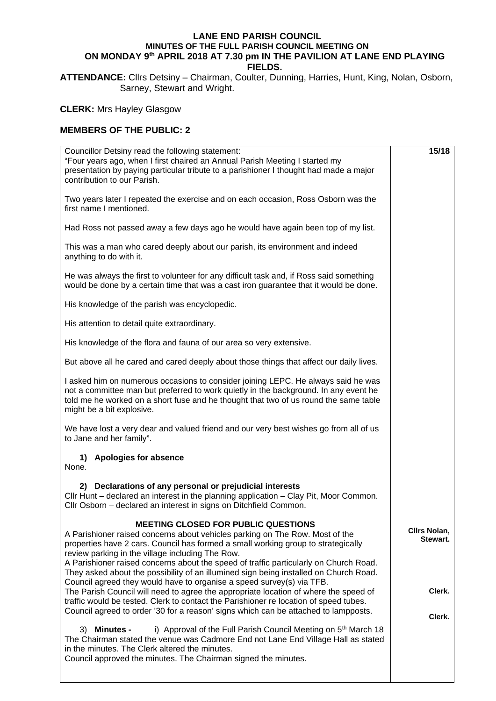## **LANE END PARISH COUNCIL MINUTES OF THE FULL PARISH COUNCIL MEETING ON ON MONDAY 9th APRIL 2018 AT 7.30 pm IN THE PAVILION AT LANE END PLAYING FIELDS.**

**ATTENDANCE:** Cllrs Detsiny – Chairman, Coulter, Dunning, Harries, Hunt, King, Nolan, Osborn, Sarney, Stewart and Wright.

**CLERK:** Mrs Hayley Glasgow

## **MEMBERS OF THE PUBLIC: 2**

| Councillor Detsiny read the following statement:<br>"Four years ago, when I first chaired an Annual Parish Meeting I started my<br>presentation by paying particular tribute to a parishioner I thought had made a major<br>contribution to our Parish.                                                                                                                                                                                                                                                                                                                                                                | 15/18                              |
|------------------------------------------------------------------------------------------------------------------------------------------------------------------------------------------------------------------------------------------------------------------------------------------------------------------------------------------------------------------------------------------------------------------------------------------------------------------------------------------------------------------------------------------------------------------------------------------------------------------------|------------------------------------|
| Two years later I repeated the exercise and on each occasion, Ross Osborn was the<br>first name I mentioned.                                                                                                                                                                                                                                                                                                                                                                                                                                                                                                           |                                    |
| Had Ross not passed away a few days ago he would have again been top of my list.                                                                                                                                                                                                                                                                                                                                                                                                                                                                                                                                       |                                    |
| This was a man who cared deeply about our parish, its environment and indeed<br>anything to do with it.                                                                                                                                                                                                                                                                                                                                                                                                                                                                                                                |                                    |
| He was always the first to volunteer for any difficult task and, if Ross said something<br>would be done by a certain time that was a cast iron guarantee that it would be done.                                                                                                                                                                                                                                                                                                                                                                                                                                       |                                    |
| His knowledge of the parish was encyclopedic.                                                                                                                                                                                                                                                                                                                                                                                                                                                                                                                                                                          |                                    |
| His attention to detail quite extraordinary.                                                                                                                                                                                                                                                                                                                                                                                                                                                                                                                                                                           |                                    |
| His knowledge of the flora and fauna of our area so very extensive.                                                                                                                                                                                                                                                                                                                                                                                                                                                                                                                                                    |                                    |
| But above all he cared and cared deeply about those things that affect our daily lives.                                                                                                                                                                                                                                                                                                                                                                                                                                                                                                                                |                                    |
| I asked him on numerous occasions to consider joining LEPC. He always said he was<br>not a committee man but preferred to work quietly in the background. In any event he<br>told me he worked on a short fuse and he thought that two of us round the same table<br>might be a bit explosive.                                                                                                                                                                                                                                                                                                                         |                                    |
| We have lost a very dear and valued friend and our very best wishes go from all of us<br>to Jane and her family".                                                                                                                                                                                                                                                                                                                                                                                                                                                                                                      |                                    |
| <b>Apologies for absence</b><br>1)<br>None.                                                                                                                                                                                                                                                                                                                                                                                                                                                                                                                                                                            |                                    |
| 2) Declarations of any personal or prejudicial interests<br>Cllr Hunt - declared an interest in the planning application - Clay Pit, Moor Common.<br>Cllr Osborn - declared an interest in signs on Ditchfield Common.                                                                                                                                                                                                                                                                                                                                                                                                 |                                    |
| <b>MEETING CLOSED FOR PUBLIC QUESTIONS</b><br>A Parishioner raised concerns about vehicles parking on The Row. Most of the<br>properties have 2 cars. Council has formed a small working group to strategically<br>review parking in the village including The Row.<br>A Parishioner raised concerns about the speed of traffic particularly on Church Road.<br>They asked about the possibility of an illumined sign being installed on Church Road.<br>Council agreed they would have to organise a speed survey(s) via TFB.<br>The Parish Council will need to agree the appropriate location of where the speed of | Cllrs Nolan,<br>Stewart.<br>Clerk. |
| traffic would be tested. Clerk to contact the Parishioner re location of speed tubes.<br>Council agreed to order '30 for a reason' signs which can be attached to lampposts.                                                                                                                                                                                                                                                                                                                                                                                                                                           | Clerk.                             |
| i) Approval of the Full Parish Council Meeting on 5 <sup>th</sup> March 18<br>3) Minutes -<br>The Chairman stated the venue was Cadmore End not Lane End Village Hall as stated<br>in the minutes. The Clerk altered the minutes.<br>Council approved the minutes. The Chairman signed the minutes.                                                                                                                                                                                                                                                                                                                    |                                    |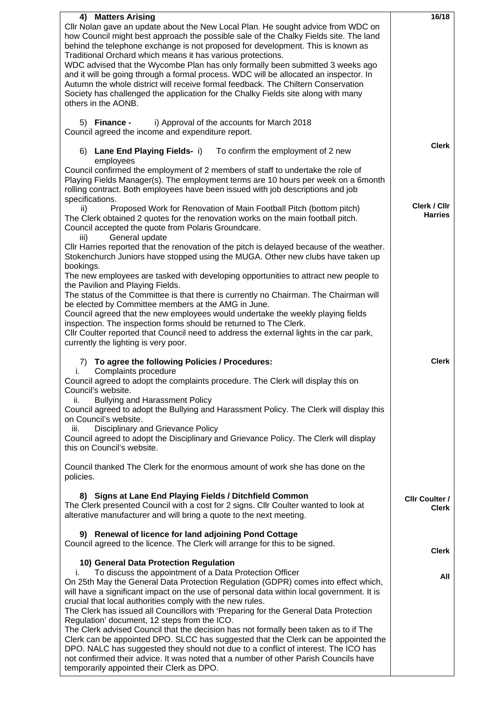| 4) Matters Arising<br>Cllr Nolan gave an update about the New Local Plan. He sought advice from WDC on                                                                                                                                                                                                        | 16/18                          |
|---------------------------------------------------------------------------------------------------------------------------------------------------------------------------------------------------------------------------------------------------------------------------------------------------------------|--------------------------------|
| how Council might best approach the possible sale of the Chalky Fields site. The land<br>behind the telephone exchange is not proposed for development. This is known as<br>Traditional Orchard which means it has various protections.                                                                       |                                |
| WDC advised that the Wycombe Plan has only formally been submitted 3 weeks ago<br>and it will be going through a formal process. WDC will be allocated an inspector. In                                                                                                                                       |                                |
| Autumn the whole district will receive formal feedback. The Chiltern Conservation<br>Society has challenged the application for the Chalky Fields site along with many<br>others in the AONB.                                                                                                                 |                                |
| i) Approval of the accounts for March 2018<br>5) Finance -<br>Council agreed the income and expenditure report.                                                                                                                                                                                               |                                |
| 6) Lane End Playing Fields- i)<br>To confirm the employment of 2 new<br>employees                                                                                                                                                                                                                             | <b>Clerk</b>                   |
| Council confirmed the employment of 2 members of staff to undertake the role of<br>Playing Fields Manager(s). The employment terms are 10 hours per week on a 6month<br>rolling contract. Both employees have been issued with job descriptions and job<br>specifications.                                    |                                |
| Proposed Work for Renovation of Main Football Pitch (bottom pitch)<br>ii)<br>The Clerk obtained 2 quotes for the renovation works on the main football pitch.<br>Council accepted the quote from Polaris Groundcare.<br>General update<br>iii)                                                                | Clerk / Cllr<br><b>Harries</b> |
| CIIr Harries reported that the renovation of the pitch is delayed because of the weather.<br>Stokenchurch Juniors have stopped using the MUGA. Other new clubs have taken up<br>bookings.                                                                                                                     |                                |
| The new employees are tasked with developing opportunities to attract new people to<br>the Pavilion and Playing Fields.                                                                                                                                                                                       |                                |
| The status of the Committee is that there is currently no Chairman. The Chairman will<br>be elected by Committee members at the AMG in June.                                                                                                                                                                  |                                |
| Council agreed that the new employees would undertake the weekly playing fields<br>inspection. The inspection forms should be returned to The Clerk.                                                                                                                                                          |                                |
| CIIr Coulter reported that Council need to address the external lights in the car park,<br>currently the lighting is very poor.                                                                                                                                                                               |                                |
| 7) To agree the following Policies / Procedures:<br>Complaints procedure<br>i.                                                                                                                                                                                                                                | <b>Clerk</b>                   |
| Council agreed to adopt the complaints procedure. The Clerk will display this on<br>Council's website.                                                                                                                                                                                                        |                                |
| <b>Bullying and Harassment Policy</b><br>ii.<br>Council agreed to adopt the Bullying and Harassment Policy. The Clerk will display this<br>on Council's website.                                                                                                                                              |                                |
| Disciplinary and Grievance Policy<br>iii.                                                                                                                                                                                                                                                                     |                                |
| Council agreed to adopt the Disciplinary and Grievance Policy. The Clerk will display                                                                                                                                                                                                                         |                                |
| this on Council's website.                                                                                                                                                                                                                                                                                    |                                |
| Council thanked The Clerk for the enormous amount of work she has done on the<br>policies.                                                                                                                                                                                                                    |                                |
| 8) Signs at Lane End Playing Fields / Ditchfield Common<br>The Clerk presented Council with a cost for 2 signs. Cllr Coulter wanted to look at<br>alterative manufacturer and will bring a quote to the next meeting.                                                                                         | <b>CIIr Coulter /</b><br>Clerk |
| 9) Renewal of licence for land adjoining Pond Cottage<br>Council agreed to the licence. The Clerk will arrange for this to be signed.                                                                                                                                                                         | <b>Clerk</b>                   |
| 10) General Data Protection Regulation                                                                                                                                                                                                                                                                        |                                |
| i.<br>To discuss the appointment of a Data Protection Officer<br>On 25th May the General Data Protection Regulation (GDPR) comes into effect which,<br>will have a significant impact on the use of personal data within local government. It is<br>crucial that local authorities comply with the new rules. | All                            |
| The Clerk has issued all Councillors with 'Preparing for the General Data Protection<br>Regulation' document, 12 steps from the ICO.<br>The Clerk advised Council that the decision has not formally been taken as to if The                                                                                  |                                |
| Clerk can be appointed DPO. SLCC has suggested that the Clerk can be appointed the<br>DPO. NALC has suggested they should not due to a conflict of interest. The ICO has<br>not confirmed their advice. It was noted that a number of other Parish Councils have<br>temporarily appointed their Clerk as DPO. |                                |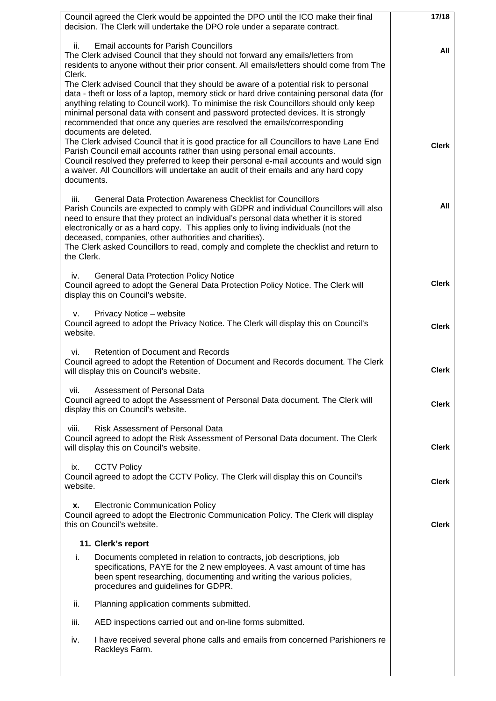| Council agreed the Clerk would be appointed the DPO until the ICO make their final<br>decision. The Clerk will undertake the DPO role under a separate contract.                                                                                                                                                                                                                                                                                                                                                 | 17/18        |
|------------------------------------------------------------------------------------------------------------------------------------------------------------------------------------------------------------------------------------------------------------------------------------------------------------------------------------------------------------------------------------------------------------------------------------------------------------------------------------------------------------------|--------------|
|                                                                                                                                                                                                                                                                                                                                                                                                                                                                                                                  |              |
| ii.<br><b>Email accounts for Parish Councillors</b><br>The Clerk advised Council that they should not forward any emails/letters from<br>residents to anyone without their prior consent. All emails/letters should come from The<br>Clerk.                                                                                                                                                                                                                                                                      | All          |
| The Clerk advised Council that they should be aware of a potential risk to personal<br>data - theft or loss of a laptop, memory stick or hard drive containing personal data (for<br>anything relating to Council work). To minimise the risk Councillors should only keep<br>minimal personal data with consent and password protected devices. It is strongly<br>recommended that once any queries are resolved the emails/corresponding<br>documents are deleted.                                             |              |
| The Clerk advised Council that it is good practice for all Councillors to have Lane End<br>Parish Council email accounts rather than using personal email accounts.<br>Council resolved they preferred to keep their personal e-mail accounts and would sign<br>a waiver. All Councillors will undertake an audit of their emails and any hard copy<br>documents.                                                                                                                                                | <b>Clerk</b> |
| <b>General Data Protection Awareness Checklist for Councillors</b><br>iii.<br>Parish Councils are expected to comply with GDPR and individual Councillors will also<br>need to ensure that they protect an individual's personal data whether it is stored<br>electronically or as a hard copy. This applies only to living individuals (not the<br>deceased, companies, other authorities and charities).<br>The Clerk asked Councillors to read, comply and complete the checklist and return to<br>the Clerk. | All          |
| <b>General Data Protection Policy Notice</b><br>iv.<br>Council agreed to adopt the General Data Protection Policy Notice. The Clerk will<br>display this on Council's website.                                                                                                                                                                                                                                                                                                                                   | <b>Clerk</b> |
| Privacy Notice - website<br>V.<br>Council agreed to adopt the Privacy Notice. The Clerk will display this on Council's<br>website.                                                                                                                                                                                                                                                                                                                                                                               | <b>Clerk</b> |
| Retention of Document and Records<br>vi.<br>Council agreed to adopt the Retention of Document and Records document. The Clerk<br>will display this on Council's website.                                                                                                                                                                                                                                                                                                                                         | <b>Clerk</b> |
| Assessment of Personal Data<br>vii.<br>Council agreed to adopt the Assessment of Personal Data document. The Clerk will<br>display this on Council's website.                                                                                                                                                                                                                                                                                                                                                    | <b>Clerk</b> |
| <b>Risk Assessment of Personal Data</b><br>viii.<br>Council agreed to adopt the Risk Assessment of Personal Data document. The Clerk<br>will display this on Council's website.                                                                                                                                                                                                                                                                                                                                  | <b>Clerk</b> |
| <b>CCTV Policy</b><br>ix.<br>Council agreed to adopt the CCTV Policy. The Clerk will display this on Council's<br>website.                                                                                                                                                                                                                                                                                                                                                                                       | <b>Clerk</b> |
| <b>Electronic Communication Policy</b><br>х.<br>Council agreed to adopt the Electronic Communication Policy. The Clerk will display<br>this on Council's website.                                                                                                                                                                                                                                                                                                                                                | <b>Clerk</b> |
| 11. Clerk's report                                                                                                                                                                                                                                                                                                                                                                                                                                                                                               |              |
| i.<br>Documents completed in relation to contracts, job descriptions, job<br>specifications, PAYE for the 2 new employees. A vast amount of time has<br>been spent researching, documenting and writing the various policies,<br>procedures and guidelines for GDPR.                                                                                                                                                                                                                                             |              |
| Planning application comments submitted.<br>ii.                                                                                                                                                                                                                                                                                                                                                                                                                                                                  |              |
| AED inspections carried out and on-line forms submitted.<br>iii.                                                                                                                                                                                                                                                                                                                                                                                                                                                 |              |
| I have received several phone calls and emails from concerned Parishioners re<br>iv.<br>Rackleys Farm.                                                                                                                                                                                                                                                                                                                                                                                                           |              |
|                                                                                                                                                                                                                                                                                                                                                                                                                                                                                                                  |              |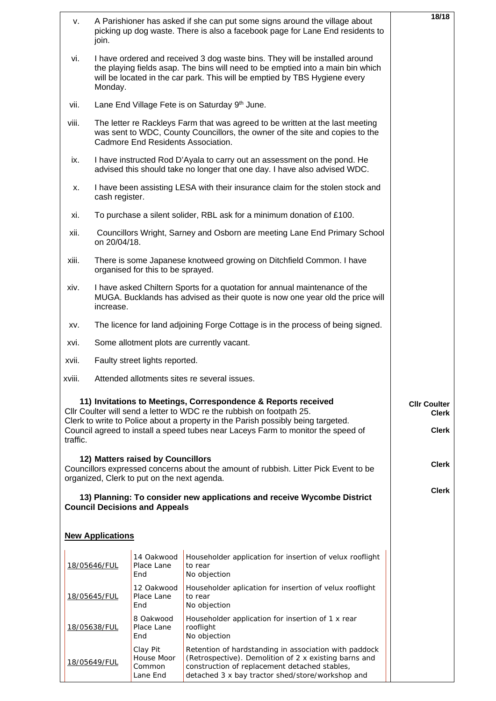| A Parishioner has asked if she can put some signs around the village about<br>۷. |                                                                                                                                                                                                                                                         |                                              |                                                                                                                                                                                                                     | 18/18               |  |  |
|----------------------------------------------------------------------------------|---------------------------------------------------------------------------------------------------------------------------------------------------------------------------------------------------------------------------------------------------------|----------------------------------------------|---------------------------------------------------------------------------------------------------------------------------------------------------------------------------------------------------------------------|---------------------|--|--|
|                                                                                  | picking up dog waste. There is also a facebook page for Lane End residents to<br>join.                                                                                                                                                                  |                                              |                                                                                                                                                                                                                     |                     |  |  |
| vi.                                                                              | I have ordered and received 3 dog waste bins. They will be installed around<br>the playing fields asap. The bins will need to be emptied into a main bin which<br>will be located in the car park. This will be emptied by TBS Hygiene every<br>Monday. |                                              |                                                                                                                                                                                                                     |                     |  |  |
| vii.                                                                             | Lane End Village Fete is on Saturday 9th June.                                                                                                                                                                                                          |                                              |                                                                                                                                                                                                                     |                     |  |  |
| viii.                                                                            | The letter re Rackleys Farm that was agreed to be written at the last meeting<br>was sent to WDC, County Councillors, the owner of the site and copies to the<br>Cadmore End Residents Association.                                                     |                                              |                                                                                                                                                                                                                     |                     |  |  |
| ix.                                                                              | I have instructed Rod D'Ayala to carry out an assessment on the pond. He<br>advised this should take no longer that one day. I have also advised WDC.                                                                                                   |                                              |                                                                                                                                                                                                                     |                     |  |  |
| х.                                                                               | I have been assisting LESA with their insurance claim for the stolen stock and<br>cash register.                                                                                                                                                        |                                              |                                                                                                                                                                                                                     |                     |  |  |
| xi.                                                                              |                                                                                                                                                                                                                                                         |                                              | To purchase a silent solider, RBL ask for a minimum donation of £100.                                                                                                                                               |                     |  |  |
| xii.                                                                             | on 20/04/18.                                                                                                                                                                                                                                            |                                              | Councillors Wright, Sarney and Osborn are meeting Lane End Primary School                                                                                                                                           |                     |  |  |
| xiii.                                                                            |                                                                                                                                                                                                                                                         | organised for this to be sprayed.            | There is some Japanese knotweed growing on Ditchfield Common. I have                                                                                                                                                |                     |  |  |
| xiv.                                                                             | I have asked Chiltern Sports for a quotation for annual maintenance of the<br>MUGA. Bucklands has advised as their quote is now one year old the price will<br>increase.                                                                                |                                              |                                                                                                                                                                                                                     |                     |  |  |
| XV.                                                                              | The licence for land adjoining Forge Cottage is in the process of being signed.                                                                                                                                                                         |                                              |                                                                                                                                                                                                                     |                     |  |  |
| xvi.                                                                             |                                                                                                                                                                                                                                                         |                                              | Some allotment plots are currently vacant.                                                                                                                                                                          |                     |  |  |
| xvii.<br>Faulty street lights reported.                                          |                                                                                                                                                                                                                                                         |                                              |                                                                                                                                                                                                                     |                     |  |  |
| xviii.                                                                           |                                                                                                                                                                                                                                                         |                                              | Attended allotments sites re several issues.                                                                                                                                                                        |                     |  |  |
|                                                                                  |                                                                                                                                                                                                                                                         |                                              | 11) Invitations to Meetings, Correspondence & Reports received                                                                                                                                                      | <b>Cllr Coulter</b> |  |  |
|                                                                                  |                                                                                                                                                                                                                                                         |                                              | Cllr Coulter will send a letter to WDC re the rubbish on footpath 25.<br>Clerk to write to Police about a property in the Parish possibly being targeted.                                                           | <b>Clerk</b>        |  |  |
| traffic.                                                                         |                                                                                                                                                                                                                                                         |                                              | Council agreed to install a speed tubes near Laceys Farm to monitor the speed of                                                                                                                                    | <b>Clerk</b>        |  |  |
|                                                                                  |                                                                                                                                                                                                                                                         | 12) Matters raised by Councillors            |                                                                                                                                                                                                                     |                     |  |  |
|                                                                                  |                                                                                                                                                                                                                                                         | organized, Clerk to put on the next agenda.  | Councillors expressed concerns about the amount of rubbish. Litter Pick Event to be                                                                                                                                 | <b>Clerk</b>        |  |  |
|                                                                                  |                                                                                                                                                                                                                                                         |                                              | 13) Planning: To consider new applications and receive Wycombe District                                                                                                                                             | <b>Clerk</b>        |  |  |
|                                                                                  |                                                                                                                                                                                                                                                         | <b>Council Decisions and Appeals</b>         |                                                                                                                                                                                                                     |                     |  |  |
|                                                                                  | <b>New Applications</b>                                                                                                                                                                                                                                 |                                              |                                                                                                                                                                                                                     |                     |  |  |
|                                                                                  | 18/05646/FUL                                                                                                                                                                                                                                            | 14 Oakwood<br>Place Lane<br>End              | Householder application for insertion of velux rooflight<br>to rear<br>No objection                                                                                                                                 |                     |  |  |
|                                                                                  | 18/05645/FUL                                                                                                                                                                                                                                            | 12 Oakwood<br>Place Lane<br>End              | Householder aplication for insertion of velux rooflight<br>to rear<br>No objection                                                                                                                                  |                     |  |  |
|                                                                                  | 18/05638/FUL                                                                                                                                                                                                                                            | 8 Oakwood<br>Place Lane<br>End               | Householder application for insertion of 1 x rear<br>rooflight<br>No objection                                                                                                                                      |                     |  |  |
|                                                                                  | 18/05649/FUL                                                                                                                                                                                                                                            | Clay Pit<br>House Moor<br>Common<br>Lane End | Retention of hardstanding in association with paddock<br>(Retrospective). Demolition of 2 x existing barns and<br>construction of replacement detached stables,<br>detached 3 x bay tractor shed/store/workshop and |                     |  |  |